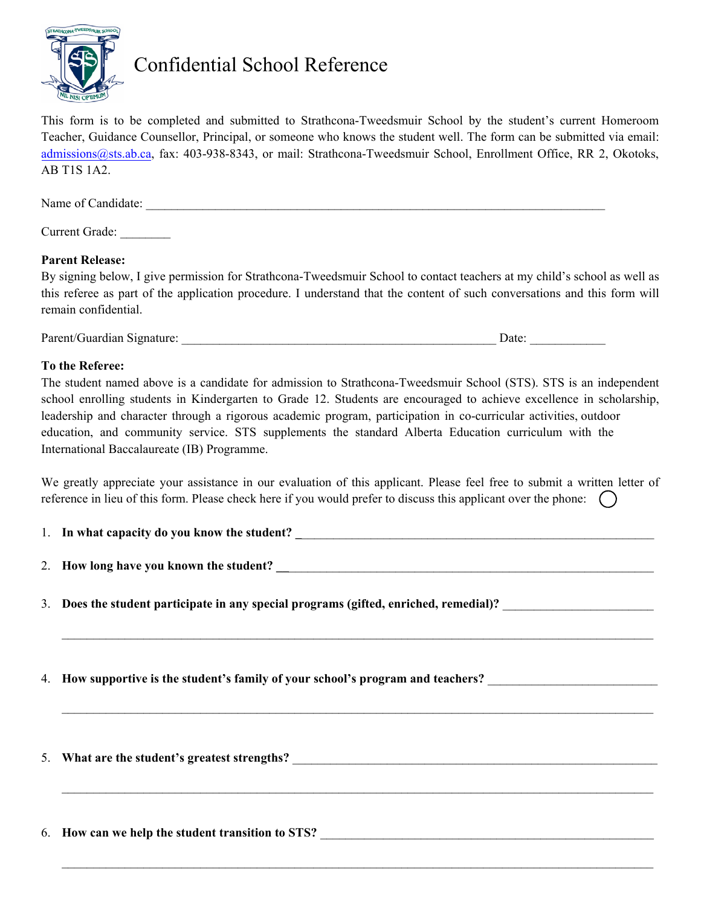

# Confidential School Reference

This form is to be completed and submitted to Strathcona-Tweedsmuir School by the student's current Homeroom Teacher, Guidance Counsellor, Principal, or someone who knows the student well. The form can be submitted via email: admissions@sts.ab.ca, fax: 403-938-8343, or mail: Strathcona-Tweedsmuir School, Enrollment Office, RR 2, Okotoks, AB T1S 1A2.

| Name of Candidate: |  |  |  |
|--------------------|--|--|--|
|                    |  |  |  |

# Current Grade:

#### **Parent Release:**

By signing below, I give permission for Strathcona-Tweedsmuir School to contact teachers at my child's school as well as this referee as part of the application procedure. I understand that the content of such conversations and this form will remain confidential.

| Parent/<br>моняшт<br>лианиан . |  |  |  |
|--------------------------------|--|--|--|
|--------------------------------|--|--|--|

#### **To the Referee:**

The student named above is a candidate for admission to Strathcona-Tweedsmuir School (STS). STS is an independent school enrolling students in Kindergarten to Grade 12. Students are encouraged to achieve excellence in scholarship, leadership and character through a rigorous academic program, participation in co-curricular activities, outdoor education, and community service. STS supplements the standard Alberta Education curriculum with the International Baccalaureate (IB) Programme.

We greatly appreciate your assistance in our evaluation of this applicant. Please feel free to submit a written letter of reference in lieu of this form. Please check here if you would prefer to discuss this applicant over the phone:  $\bigcap$ 

 $\mathcal{L}_\mathcal{L} = \mathcal{L}_\mathcal{L} = \mathcal{L}_\mathcal{L} = \mathcal{L}_\mathcal{L} = \mathcal{L}_\mathcal{L} = \mathcal{L}_\mathcal{L} = \mathcal{L}_\mathcal{L} = \mathcal{L}_\mathcal{L} = \mathcal{L}_\mathcal{L} = \mathcal{L}_\mathcal{L} = \mathcal{L}_\mathcal{L} = \mathcal{L}_\mathcal{L} = \mathcal{L}_\mathcal{L} = \mathcal{L}_\mathcal{L} = \mathcal{L}_\mathcal{L} = \mathcal{L}_\mathcal{L} = \mathcal{L}_\mathcal{L}$ 

 $\mathcal{L}_\mathcal{L} = \mathcal{L}_\mathcal{L} = \mathcal{L}_\mathcal{L} = \mathcal{L}_\mathcal{L} = \mathcal{L}_\mathcal{L} = \mathcal{L}_\mathcal{L} = \mathcal{L}_\mathcal{L} = \mathcal{L}_\mathcal{L} = \mathcal{L}_\mathcal{L} = \mathcal{L}_\mathcal{L} = \mathcal{L}_\mathcal{L} = \mathcal{L}_\mathcal{L} = \mathcal{L}_\mathcal{L} = \mathcal{L}_\mathcal{L} = \mathcal{L}_\mathcal{L} = \mathcal{L}_\mathcal{L} = \mathcal{L}_\mathcal{L}$ 

 $\mathcal{L}_\mathcal{L} = \mathcal{L}_\mathcal{L} = \mathcal{L}_\mathcal{L} = \mathcal{L}_\mathcal{L} = \mathcal{L}_\mathcal{L} = \mathcal{L}_\mathcal{L} = \mathcal{L}_\mathcal{L} = \mathcal{L}_\mathcal{L} = \mathcal{L}_\mathcal{L} = \mathcal{L}_\mathcal{L} = \mathcal{L}_\mathcal{L} = \mathcal{L}_\mathcal{L} = \mathcal{L}_\mathcal{L} = \mathcal{L}_\mathcal{L} = \mathcal{L}_\mathcal{L} = \mathcal{L}_\mathcal{L} = \mathcal{L}_\mathcal{L}$ 

 $\mathcal{L}_\mathcal{L} = \mathcal{L}_\mathcal{L} = \mathcal{L}_\mathcal{L} = \mathcal{L}_\mathcal{L} = \mathcal{L}_\mathcal{L} = \mathcal{L}_\mathcal{L} = \mathcal{L}_\mathcal{L} = \mathcal{L}_\mathcal{L} = \mathcal{L}_\mathcal{L} = \mathcal{L}_\mathcal{L} = \mathcal{L}_\mathcal{L} = \mathcal{L}_\mathcal{L} = \mathcal{L}_\mathcal{L} = \mathcal{L}_\mathcal{L} = \mathcal{L}_\mathcal{L} = \mathcal{L}_\mathcal{L} = \mathcal{L}_\mathcal{L}$ 

| 1. In what capacity do you know the student? |  |
|----------------------------------------------|--|
|                                              |  |

- 2. How long have you known the student?
- 3. Does the student participate in any special programs (gifted, enriched, remedial)?
- 4. **How supportive is the student's family of your school's program and teachers?** \_\_\_\_\_\_\_\_\_\_\_\_\_\_\_\_\_\_\_\_\_\_\_\_\_\_\_

5. What are the student's greatest strengths?

6. How can we help the student transition to STS?